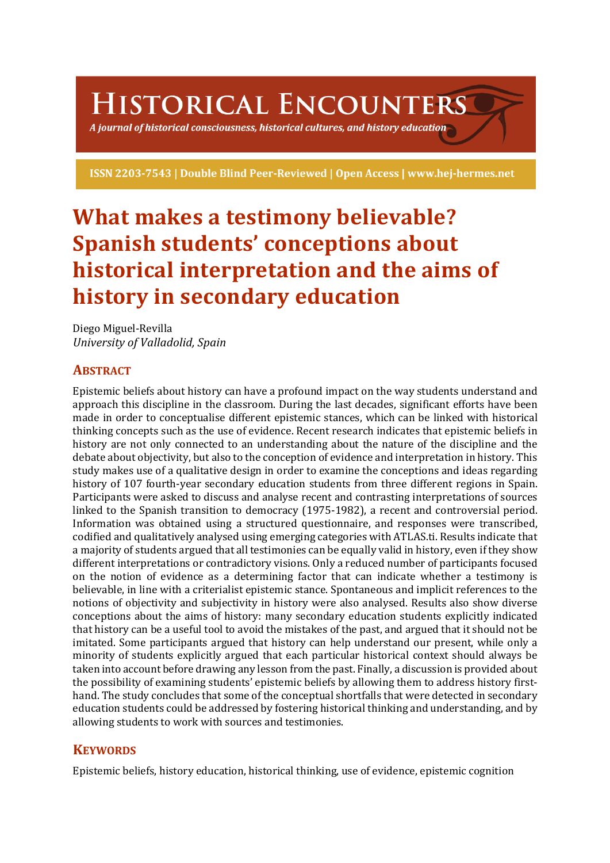# HISTORICAL ENCOUNTERS

A journal of historical consciousness, historical cultures, and history education  $\geq$ 

ISSN 2203-7543 | Double Blind Peer-Reviewed | Open Access | www.hej-hermes.net

# **What makes a testimony believable? Spanish students' conceptions about historical interpretation and the aims of history in secondary education**

Diego Miguel-Revilla *University of Valladolid, Spain*

# **ABSTRACT**

Epistemic beliefs about history can have a profound impact on the way students understand and approach this discipline in the classroom. During the last decades, significant efforts have been made in order to conceptualise different epistemic stances, which can be linked with historical thinking concepts such as the use of evidence. Recent research indicates that epistemic beliefs in history are not only connected to an understanding about the nature of the discipline and the debate about objectivity, but also to the conception of evidence and interpretation in history. This study makes use of a qualitative design in order to examine the conceptions and ideas regarding history of 107 fourth-year secondary education students from three different regions in Spain. Participants were asked to discuss and analyse recent and contrasting interpretations of sources linked to the Spanish transition to democracy (1975-1982), a recent and controversial period. Information was obtained using a structured questionnaire, and responses were transcribed, codified and qualitatively analysed using emerging categories with ATLAS.ti. Results indicate that a majority of students argued that all testimonies can be equally valid in history, even if they show different interpretations or contradictory visions. Only a reduced number of participants focused on the notion of evidence as a determining factor that can indicate whether a testimony is believable, in line with a criterialist epistemic stance. Spontaneous and implicit references to the notions of objectivity and subjectivity in history were also analysed. Results also show diverse conceptions about the aims of history: many secondary education students explicitly indicated that history can be a useful tool to avoid the mistakes of the past, and argued that it should not be imitated. Some participants argued that history can help understand our present, while only a minority of students explicitly argued that each particular historical context should always be taken into account before drawing any lesson from the past. Finally, a discussion is provided about the possibility of examining students' epistemic beliefs by allowing them to address history firsthand. The study concludes that some of the conceptual shortfalls that were detected in secondary education students could be addressed by fostering historical thinking and understanding, and by allowing students to work with sources and testimonies.

## **KEYWORDS**

Epistemic beliefs, history education, historical thinking, use of evidence, epistemic cognition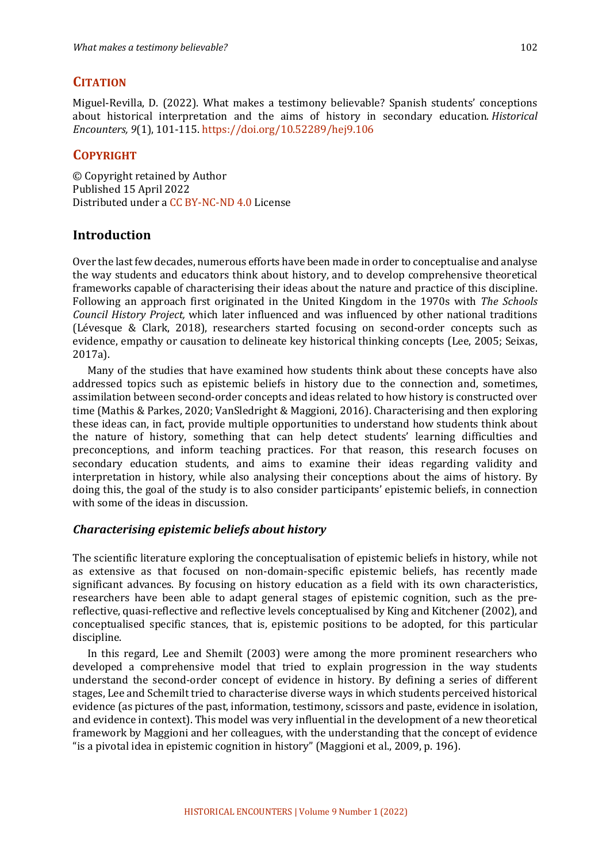#### **CITATION**

Miguel-Revilla, D. (2022). What makes a testimony believable? Spanish students' conceptions about historical interpretation and the aims of history in secondary education. *Historical Encounters, 9*(1), 101-115. https://doi.org/10.52289/hej9.106

### **COPYRIGHT**

© Copyright retained by Author Published 15 April 2022 Distributed under a CC BY-NC-ND 4.0 License

#### **Introduction**

Over the last few decades, numerous efforts have been made in order to conceptualise and analyse the way students and educators think about history, and to develop comprehensive theoretical frameworks capable of characterising their ideas about the nature and practice of this discipline. Following an approach first originated in the United Kingdom in the 1970s with *The Schools Council History Project,* which later influenced and was influenced by other national traditions (Lévesque & Clark, 2018), researchers started focusing on second-order concepts such as evidence, empathy or causation to delineate key historical thinking concepts (Lee, 2005; Seixas, 2017a).

Many of the studies that have examined how students think about these concepts have also addressed topics such as epistemic beliefs in history due to the connection and, sometimes, assimilation between second-order concepts and ideas related to how history is constructed over time (Mathis & Parkes, 2020; VanSledright & Maggioni, 2016). Characterising and then exploring these ideas can, in fact, provide multiple opportunities to understand how students think about the nature of history, something that can help detect students' learning difficulties and preconceptions, and inform teaching practices. For that reason, this research focuses on secondary education students, and aims to examine their ideas regarding validity and interpretation in history, while also analysing their conceptions about the aims of history. By doing this, the goal of the study is to also consider participants' epistemic beliefs, in connection with some of the ideas in discussion.

#### *Characterising epistemic beliefs about history*

The scientific literature exploring the conceptualisation of epistemic beliefs in history, while not as extensive as that focused on non-domain-specific epistemic beliefs, has recently made significant advances. By focusing on history education as a field with its own characteristics, researchers have been able to adapt general stages of epistemic cognition, such as the prereflective, quasi-reflective and reflective levels conceptualised by King and Kitchener (2002), and conceptualised specific stances, that is, epistemic positions to be adopted, for this particular discipline.

In this regard, Lee and Shemilt (2003) were among the more prominent researchers who developed a comprehensive model that tried to explain progression in the way students understand the second-order concept of evidence in history. By defining a series of different stages, Lee and Schemilt tried to characterise diverse ways in which students perceived historical evidence (as pictures of the past, information, testimony, scissors and paste, evidence in isolation, and evidence in context). This model was very influential in the development of a new theoretical framework by Maggioni and her colleagues, with the understanding that the concept of evidence "is a pivotal idea in epistemic cognition in history" (Maggioni et al., 2009, p. 196).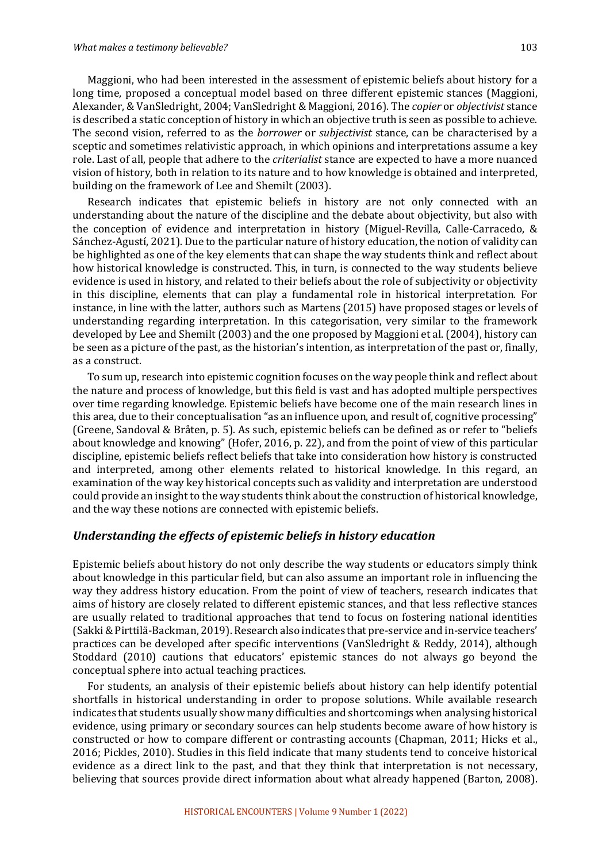Maggioni, who had been interested in the assessment of epistemic beliefs about history for a long time, proposed a conceptual model based on three different epistemic stances (Maggioni, Alexander, & VanSledright, 2004; VanSledright & Maggioni, 2016). The *copier* or *objectivist* stance is described a static conception of history in which an objective truth is seen as possible to achieve. The second vision, referred to as the *borrower* or *subjectivist* stance, can be characterised by a sceptic and sometimes relativistic approach, in which opinions and interpretations assume a key role. Last of all, people that adhere to the *criterialist* stance are expected to have a more nuanced vision of history, both in relation to its nature and to how knowledge is obtained and interpreted, building on the framework of Lee and Shemilt (2003).

Research indicates that epistemic beliefs in history are not only connected with an understanding about the nature of the discipline and the debate about objectivity, but also with the conception of evidence and interpretation in history (Miguel-Revilla, Calle-Carracedo, & Sánchez-Agustí, 2021). Due to the particular nature of history education, the notion of validity can be highlighted as one of the key elements that can shape the way students think and reflect about how historical knowledge is constructed. This, in turn, is connected to the way students believe evidence is used in history, and related to their beliefs about the role of subjectivity or objectivity in this discipline, elements that can play a fundamental role in historical interpretation. For instance, in line with the latter, authors such as Martens (2015) have proposed stages or levels of understanding regarding interpretation. In this categorisation, very similar to the framework developed by Lee and Shemilt (2003) and the one proposed by Maggioni et al. (2004), history can be seen as a picture of the past, as the historian's intention, as interpretation of the past or, finally, as a construct.

To sum up, research into epistemic cognition focuses on the way people think and reflect about the nature and process of knowledge, but this field is vast and has adopted multiple perspectives over time regarding knowledge. Epistemic beliefs have become one of the main research lines in this area, due to their conceptualisation "as an influence upon, and result of, cognitive processing" (Greene, Sandoval & Bråten, p. 5). As such, epistemic beliefs can be defined as or refer to "beliefs" about knowledge and knowing" (Hofer, 2016, p. 22), and from the point of view of this particular discipline, epistemic beliefs reflect beliefs that take into consideration how history is constructed and interpreted, among other elements related to historical knowledge. In this regard, an examination of the way key historical concepts such as validity and interpretation are understood could provide an insight to the way students think about the construction of historical knowledge, and the way these notions are connected with epistemic beliefs.

#### Understanding the effects of epistemic beliefs in history education

Epistemic beliefs about history do not only describe the way students or educators simply think about knowledge in this particular field, but can also assume an important role in influencing the way they address history education. From the point of view of teachers, research indicates that aims of history are closely related to different epistemic stances, and that less reflective stances are usually related to traditional approaches that tend to focus on fostering national identities (Sakki & Pirttilä-Backman, 2019). Research also indicates that pre-service and in-service teachers' practices can be developed after specific interventions (VanSledright & Reddy, 2014), although Stoddard (2010) cautions that educators' epistemic stances do not always go beyond the conceptual sphere into actual teaching practices.

For students, an analysis of their epistemic beliefs about history can help identify potential shortfalls in historical understanding in order to propose solutions. While available research indicates that students usually show many difficulties and shortcomings when analysing historical evidence, using primary or secondary sources can help students become aware of how history is constructed or how to compare different or contrasting accounts (Chapman, 2011; Hicks et al., 2016; Pickles, 2010). Studies in this field indicate that many students tend to conceive historical evidence as a direct link to the past, and that they think that interpretation is not necessary, believing that sources provide direct information about what already happened (Barton, 2008).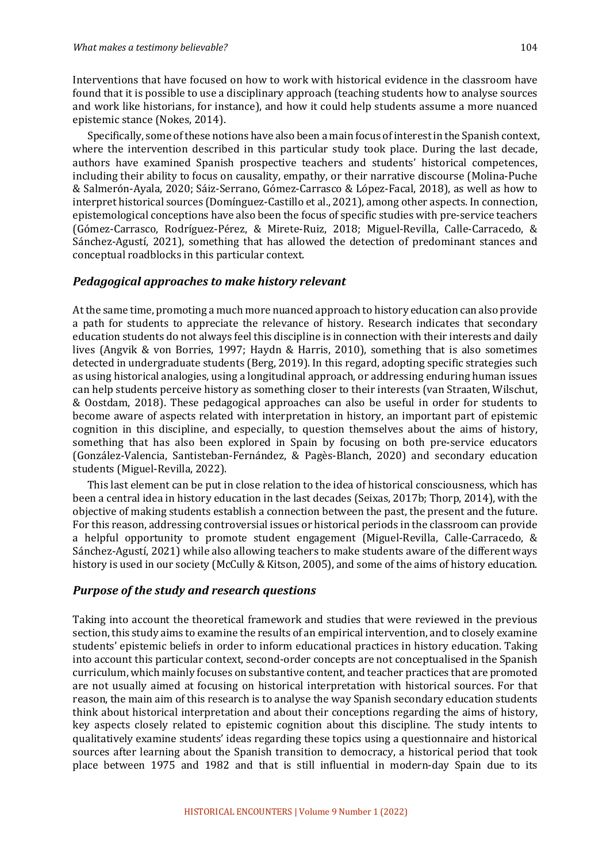Interventions that have focused on how to work with historical evidence in the classroom have found that it is possible to use a disciplinary approach (teaching students how to analyse sources and work like historians, for instance), and how it could help students assume a more nuanced epistemic stance (Nokes, 2014).

Specifically, some of these notions have also been a main focus of interest in the Spanish context, where the intervention described in this particular study took place. During the last decade, authors have examined Spanish prospective teachers and students' historical competences, including their ability to focus on causality, empathy, or their narrative discourse (Molina-Puche & Salmerón-Ayala, 2020; Sáiz-Serrano, Gómez-Carrasco & López-Facal, 2018), as well as how to interpret historical sources (Domínguez-Castillo et al., 2021), among other aspects. In connection, epistemological conceptions have also been the focus of specific studies with pre-service teachers (Gómez-Carrasco, Rodríguez-Pérez, & Mirete-Ruiz, 2018; Miguel-Revilla, Calle-Carracedo, & Sánchez-Agustí, 2021), something that has allowed the detection of predominant stances and conceptual roadblocks in this particular context.

#### *Pedagogical approaches to make history relevant*

At the same time, promoting a much more nuanced approach to history education can also provide a path for students to appreciate the relevance of history. Research indicates that secondary education students do not always feel this discipline is in connection with their interests and daily lives (Angvik & von Borries, 1997; Haydn & Harris, 2010), something that is also sometimes detected in undergraduate students (Berg, 2019). In this regard, adopting specific strategies such as using historical analogies, using a longitudinal approach, or addressing enduring human issues can help students perceive history as something closer to their interests (van Straaten, Wilschut, & Oostdam, 2018). These pedagogical approaches can also be useful in order for students to become aware of aspects related with interpretation in history, an important part of epistemic cognition in this discipline, and especially, to question themselves about the aims of history, something that has also been explored in Spain by focusing on both pre-service educators (González-Valencia, Santisteban-Fernández, & Pagès-Blanch, 2020) and secondary education students (Miguel-Revilla, 2022).

This last element can be put in close relation to the idea of historical consciousness, which has been a central idea in history education in the last decades (Seixas, 2017b; Thorp, 2014), with the objective of making students establish a connection between the past, the present and the future. For this reason, addressing controversial issues or historical periods in the classroom can provide a helpful opportunity to promote student engagement (Miguel-Revilla, Calle-Carracedo,  $\&$ Sánchez-Agustí, 2021) while also allowing teachers to make students aware of the different ways history is used in our society (McCully & Kitson, 2005), and some of the aims of history education.

#### **Purpose of the study and research questions**

Taking into account the theoretical framework and studies that were reviewed in the previous section, this study aims to examine the results of an empirical intervention, and to closely examine students' epistemic beliefs in order to inform educational practices in history education. Taking into account this particular context, second-order concepts are not conceptualised in the Spanish curriculum, which mainly focuses on substantive content, and teacher practices that are promoted are not usually aimed at focusing on historical interpretation with historical sources. For that reason, the main aim of this research is to analyse the way Spanish secondary education students think about historical interpretation and about their conceptions regarding the aims of history, key aspects closely related to epistemic cognition about this discipline. The study intents to qualitatively examine students' ideas regarding these topics using a questionnaire and historical sources after learning about the Spanish transition to democracy, a historical period that took place between 1975 and 1982 and that is still influential in modern-day Spain due to its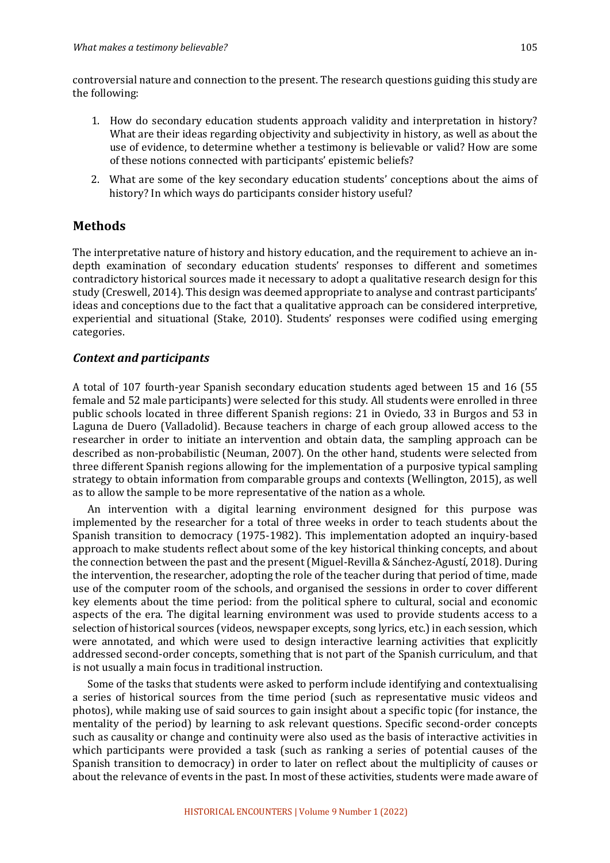controversial nature and connection to the present. The research questions guiding this study are the following:

- 1. How do secondary education students approach validity and interpretation in history? What are their ideas regarding objectivity and subjectivity in history, as well as about the use of evidence, to determine whether a testimony is believable or valid? How are some of these notions connected with participants' epistemic beliefs?
- 2. What are some of the key secondary education students' conceptions about the aims of history? In which ways do participants consider history useful?

#### **Methods**

The interpretative nature of history and history education, and the requirement to achieve an indepth examination of secondary education students' responses to different and sometimes contradictory historical sources made it necessary to adopt a qualitative research design for this study (Creswell, 2014). This design was deemed appropriate to analyse and contrast participants' ideas and conceptions due to the fact that a qualitative approach can be considered interpretive, experiential and situational (Stake, 2010). Students' responses were codified using emerging categories.

#### *Context and participants*

A total of 107 fourth-year Spanish secondary education students aged between 15 and 16 (55 female and 52 male participants) were selected for this study. All students were enrolled in three public schools located in three different Spanish regions: 21 in Oviedo, 33 in Burgos and 53 in Laguna de Duero (Valladolid). Because teachers in charge of each group allowed access to the researcher in order to initiate an intervention and obtain data, the sampling approach can be described as non-probabilistic (Neuman, 2007). On the other hand, students were selected from three different Spanish regions allowing for the implementation of a purposive typical sampling strategy to obtain information from comparable groups and contexts (Wellington, 2015), as well as to allow the sample to be more representative of the nation as a whole.

An intervention with a digital learning environment designed for this purpose was implemented by the researcher for a total of three weeks in order to teach students about the Spanish transition to democracy (1975-1982). This implementation adopted an inquiry-based approach to make students reflect about some of the key historical thinking concepts, and about the connection between the past and the present (Miguel-Revilla & Sánchez-Agustí, 2018). During the intervention, the researcher, adopting the role of the teacher during that period of time, made use of the computer room of the schools, and organised the sessions in order to cover different key elements about the time period: from the political sphere to cultural, social and economic aspects of the era. The digital learning environment was used to provide students access to a selection of historical sources (videos, newspaper excepts, song lyrics, etc.) in each session, which were annotated, and which were used to design interactive learning activities that explicitly addressed second-order concepts, something that is not part of the Spanish curriculum, and that is not usually a main focus in traditional instruction.

Some of the tasks that students were asked to perform include identifying and contextualising a series of historical sources from the time period (such as representative music videos and photos), while making use of said sources to gain insight about a specific topic (for instance, the mentality of the period) by learning to ask relevant questions. Specific second-order concepts such as causality or change and continuity were also used as the basis of interactive activities in which participants were provided a task (such as ranking a series of potential causes of the Spanish transition to democracy) in order to later on reflect about the multiplicity of causes or about the relevance of events in the past. In most of these activities, students were made aware of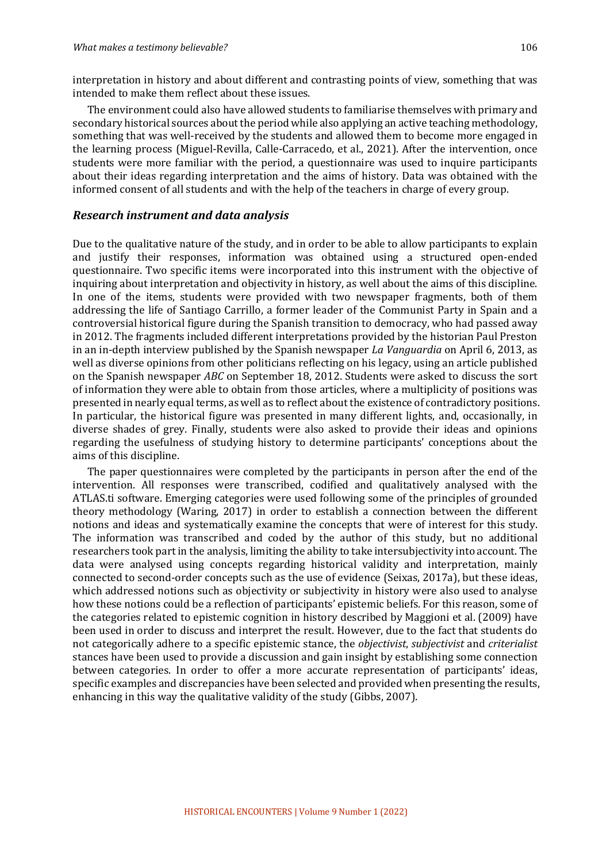interpretation in history and about different and contrasting points of view, something that was intended to make them reflect about these issues.

The environment could also have allowed students to familiarise themselves with primary and secondary historical sources about the period while also applying an active teaching methodology, something that was well-received by the students and allowed them to become more engaged in the learning process (Miguel-Revilla, Calle-Carracedo, et al., 2021). After the intervention, once students were more familiar with the period, a questionnaire was used to inquire participants about their ideas regarding interpretation and the aims of history. Data was obtained with the informed consent of all students and with the help of the teachers in charge of every group.

#### *Research instrument and data analysis*

Due to the qualitative nature of the study, and in order to be able to allow participants to explain and justify their responses, information was obtained using a structured open-ended questionnaire. Two specific items were incorporated into this instrument with the objective of inquiring about interpretation and objectivity in history, as well about the aims of this discipline. In one of the items, students were provided with two newspaper fragments, both of them addressing the life of Santiago Carrillo, a former leader of the Communist Party in Spain and a controversial historical figure during the Spanish transition to democracy, who had passed away in 2012. The fragments included different interpretations provided by the historian Paul Preston in an in-depth interview published by the Spanish newspaper *La Vanguardia* on April 6, 2013, as well as diverse opinions from other politicians reflecting on his legacy, using an article published on the Spanish newspaper *ABC* on September 18, 2012. Students were asked to discuss the sort of information they were able to obtain from those articles, where a multiplicity of positions was presented in nearly equal terms, as well as to reflect about the existence of contradictory positions. In particular, the historical figure was presented in many different lights, and, occasionally, in diverse shades of grey. Finally, students were also asked to provide their ideas and opinions regarding the usefulness of studying history to determine participants' conceptions about the aims of this discipline.

The paper questionnaires were completed by the participants in person after the end of the intervention. All responses were transcribed, codified and qualitatively analysed with the ATLAS.ti software. Emerging categories were used following some of the principles of grounded theory methodology (Waring, 2017) in order to establish a connection between the different notions and ideas and systematically examine the concepts that were of interest for this study. The information was transcribed and coded by the author of this study, but no additional researchers took part in the analysis, limiting the ability to take intersubjectivity into account. The data were analysed using concepts regarding historical validity and interpretation, mainly connected to second-order concepts such as the use of evidence (Seixas, 2017a), but these ideas, which addressed notions such as objectivity or subjectivity in history were also used to analyse how these notions could be a reflection of participants' epistemic beliefs. For this reason, some of the categories related to epistemic cognition in history described by Maggioni et al. (2009) have been used in order to discuss and interpret the result. However, due to the fact that students do not categorically adhere to a specific epistemic stance, the *objectivist*, *subjectivist* and *criterialist* stances have been used to provide a discussion and gain insight by establishing some connection between categories. In order to offer a more accurate representation of participants' ideas, specific examples and discrepancies have been selected and provided when presenting the results, enhancing in this way the qualitative validity of the study (Gibbs, 2007).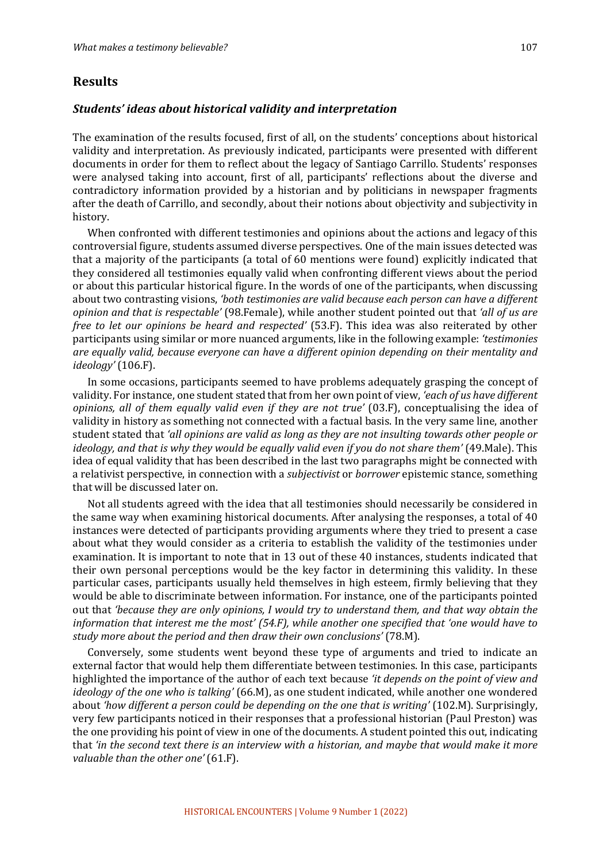#### **Results**

#### *Students' ideas about historical validity and interpretation*

The examination of the results focused, first of all, on the students' conceptions about historical validity and interpretation. As previously indicated, participants were presented with different documents in order for them to reflect about the legacy of Santiago Carrillo. Students' responses were analysed taking into account, first of all, participants' reflections about the diverse and contradictory information provided by a historian and by politicians in newspaper fragments after the death of Carrillo, and secondly, about their notions about objectivity and subjectivity in history.

When confronted with different testimonies and opinions about the actions and legacy of this controversial figure, students assumed diverse perspectives. One of the main issues detected was that a majority of the participants (a total of 60 mentions were found) explicitly indicated that they considered all testimonies equally valid when confronting different views about the period or about this particular historical figure. In the words of one of the participants, when discussing about two contrasting visions, 'both testimonies are valid because each person can have a different *opinion and that is respectable'* (98.Female), while another student pointed out that 'all of us are *free to let our opinions be heard and respected'* (53.F). This idea was also reiterated by other participants using similar or more nuanced arguments, like in the following example: *'testimonies* are equally valid, because everyone can have a different opinion depending on their mentality and *ideology'* (106.F).

In some occasions, participants seemed to have problems adequately grasping the concept of validity. For instance, one student stated that from her own point of view, 'each of us have different *opinions, all of them equally valid even if they are not true'* (03.F), conceptualising the idea of validity in history as something not connected with a factual basis. In the very same line, another student stated that 'all opinions are valid as long as they are not insulting towards other people or *ideology, and that is why they would be equally valid even if you do not share them'* (49.Male). This idea of equal validity that has been described in the last two paragraphs might be connected with a relativist perspective, in connection with a *subjectivist* or *borrower* epistemic stance, something that will be discussed later on.

Not all students agreed with the idea that all testimonies should necessarily be considered in the same way when examining historical documents. After analysing the responses, a total of 40 instances were detected of participants providing arguments where they tried to present a case about what they would consider as a criteria to establish the validity of the testimonies under examination. It is important to note that in 13 out of these 40 instances, students indicated that their own personal perceptions would be the key factor in determining this validity. In these particular cases, participants usually held themselves in high esteem, firmly believing that they would be able to discriminate between information. For instance, one of the participants pointed out that *'because they are only opinions, I would try to understand them, and that way obtain the information that interest me the most'* (54.F), while another one specified that 'one would have to study more about the period and then draw their own conclusions' (78.M).

Conversely, some students went beyond these type of arguments and tried to indicate an external factor that would help them differentiate between testimonies. In this case, participants highlighted the importance of the author of each text because *'it depends on the point of view and ideology* of the one who is talking' (66.M), as one student indicated, while another one wondered about 'how different a person could be depending on the one that is writing' (102.M). Surprisingly, very few participants noticed in their responses that a professional historian (Paul Preston) was the one providing his point of view in one of the documents. A student pointed this out, indicating that 'in the second text there is an interview with a historian, and maybe that would make it more *valuable than the other one'* (61.F).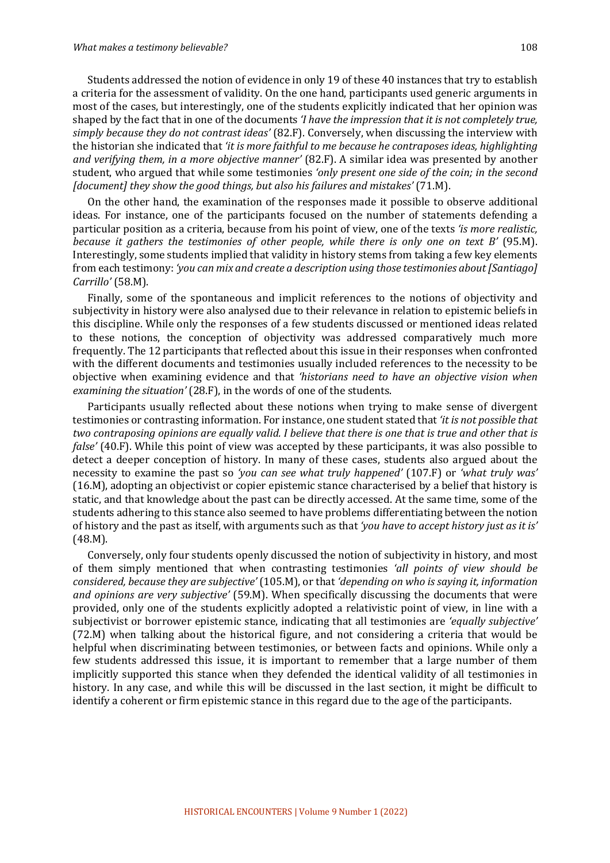Students addressed the notion of evidence in only 19 of these 40 instances that try to establish a criteria for the assessment of validity. On the one hand, participants used generic arguments in most of the cases, but interestingly, one of the students explicitly indicated that her opinion was shaped by the fact that in one of the documents *'I have the impression that it is not completely true,* simply because they do not contrast ideas' (82.F). Conversely, when discussing the interview with the historian she indicated that *'it is more faithful to me because he contraposes ideas, highlighting and verifying them, in a more objective manner'* (82.F). A similar idea was presented by another student, who argued that while some testimonies 'only present one side of the coin; in the second *[document]* they show the good things, but also his failures and mistakes' (71.M).

On the other hand, the examination of the responses made it possible to observe additional ideas. For instance, one of the participants focused on the number of statements defending a particular position as a criteria, because from his point of view, one of the texts 'is more realistic, *because* it gathers the testimonies of other people, while there is only one on text B' (95.M). Interestingly, some students implied that validity in history stems from taking a few key elements from each testimony: *'you can mix and create a description using those testimonies about [Santiago] Carrillo'* (58.M).

Finally, some of the spontaneous and implicit references to the notions of objectivity and subjectivity in history were also analysed due to their relevance in relation to epistemic beliefs in this discipline. While only the responses of a few students discussed or mentioned ideas related to these notions, the conception of objectivity was addressed comparatively much more frequently. The 12 participants that reflected about this issue in their responses when confronted with the different documents and testimonies usually included references to the necessity to be objective when examining evidence and that *'historians need to have an objective vision when examining the situation'* (28.F), in the words of one of the students.

Participants usually reflected about these notions when trying to make sense of divergent testimonies or contrasting information. For instance, one student stated that *'it is not possible that two contraposing opinions are equally valid. I believe that there is one that is true and other that is false'* (40.F). While this point of view was accepted by these participants, it was also possible to detect a deeper conception of history. In many of these cases, students also argued about the necessity to examine the past so 'you can see what truly happened' (107.F) or 'what truly was' (16.M), adopting an objectivist or copier epistemic stance characterised by a belief that history is static, and that knowledge about the past can be directly accessed. At the same time, some of the students adhering to this stance also seemed to have problems differentiating between the notion of history and the past as itself, with arguments such as that *'you have to accept history just as it is'* (48.M). 

Conversely, only four students openly discussed the notion of subjectivity in history, and most of them simply mentioned that when contrasting testimonies *'all points of view should be considered, because they are subjective'* (105.M), or that 'depending on who is saying it, information *and opinions are very subjective'* (59.M). When specifically discussing the documents that were provided, only one of the students explicitly adopted a relativistic point of view, in line with a subjectivist or borrower epistemic stance, indicating that all testimonies are 'equally subjective' (72.M) when talking about the historical figure, and not considering a criteria that would be helpful when discriminating between testimonies, or between facts and opinions. While only a few students addressed this issue, it is important to remember that a large number of them implicitly supported this stance when they defended the identical validity of all testimonies in history. In any case, and while this will be discussed in the last section, it might be difficult to identify a coherent or firm epistemic stance in this regard due to the age of the participants.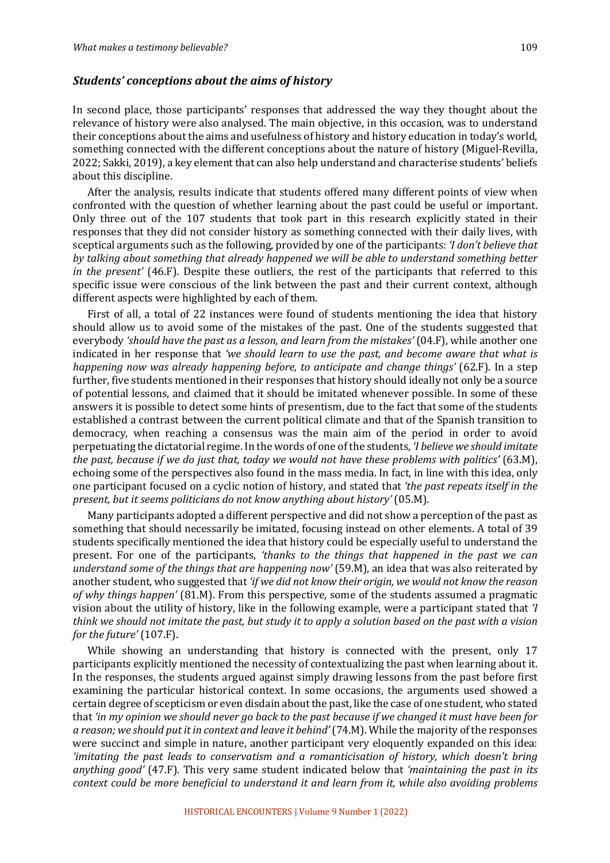#### *Students' conceptions about the aims of history*

In second place, those participants' responses that addressed the way they thought about the relevance of history were also analysed. The main objective, in this occasion, was to understand their conceptions about the aims and usefulness of history and history education in today's world, something connected with the different conceptions about the nature of history (Miguel-Revilla, 2022; Sakki, 2019), a key element that can also help understand and characterise students' beliefs about this discipline.

After the analysis, results indicate that students offered many different points of view when confronted with the question of whether learning about the past could be useful or important. Only three out of the 107 students that took part in this research explicitly stated in their responses that they did not consider history as something connected with their daily lives, with sceptical arguments such as the following, provided by one of the participants: *'I don't believe that* by talking about something that already happened we will be able to understand something better *in* the present' (46.F). Despite these outliers, the rest of the participants that referred to this specific issue were conscious of the link between the past and their current context, although different aspects were highlighted by each of them.

First of all, a total of 22 instances were found of students mentioning the idea that history should allow us to avoid some of the mistakes of the past. One of the students suggested that everybody 'should have the past as a lesson, and learn from the mistakes' (04.F), while another one indicated in her response that 'we should learn to use the past, and become aware that what is *happening now was already happening before, to anticipate and change things'* (62.F). In a step further, five students mentioned in their responses that history should ideally not only be a source of potential lessons, and claimed that it should be imitated whenever possible. In some of these answers it is possible to detect some hints of presentism, due to the fact that some of the students established a contrast between the current political climate and that of the Spanish transition to democracy, when reaching a consensus was the main aim of the period in order to avoid perpetuating the dictatorial regime. In the words of one of the students, *'I believe we should imitate the past, because if we do just that, today we would not have these problems with politics'* (63.M), echoing some of the perspectives also found in the mass media. In fact, in line with this idea, only one participant focused on a cyclic notion of history, and stated that *'the past repeats itself* in the *present, but it seems politicians do not know anything about history'* (05.M).

Many participants adopted a different perspective and did not show a perception of the past as something that should necessarily be imitated, focusing instead on other elements. A total of 39 students specifically mentioned the idea that history could be especially useful to understand the present. For one of the participants, *'thanks* to the things that happened in the past we can *understand some of the things that are happening now'* (59.M), an idea that was also reiterated by another student, who suggested that 'if we did not know their origin, we would not know the reason *of why things happen'* (81.M). From this perspective, some of the students assumed a pragmatic vision about the utility of history, like in the following example, were a participant stated that *'I think* we should not *imitate the past, but study it to apply a solution based on the past with a vision for the future'* (107.F).

While showing an understanding that history is connected with the present, only 17 participants explicitly mentioned the necessity of contextualizing the past when learning about it. In the responses, the students argued against simply drawing lessons from the past before first examining the particular historical context. In some occasions, the arguments used showed a certain degree of scepticism or even disdain about the past, like the case of one student, who stated that 'in my opinion we should never go back to the past because if we changed it must have been for *a* reason; we should put it in context and leave it behind' (74.M). While the majority of the responses were succinct and simple in nature, another participant very eloquently expanded on this idea: *'imitating the past leads to conservatism and a romanticisation of history, which doesn't bring anything good'* (47.F). This very same student indicated below that *'maintaining the past in its context could be more beneficial to understand it and learn from it, while also avoiding problems*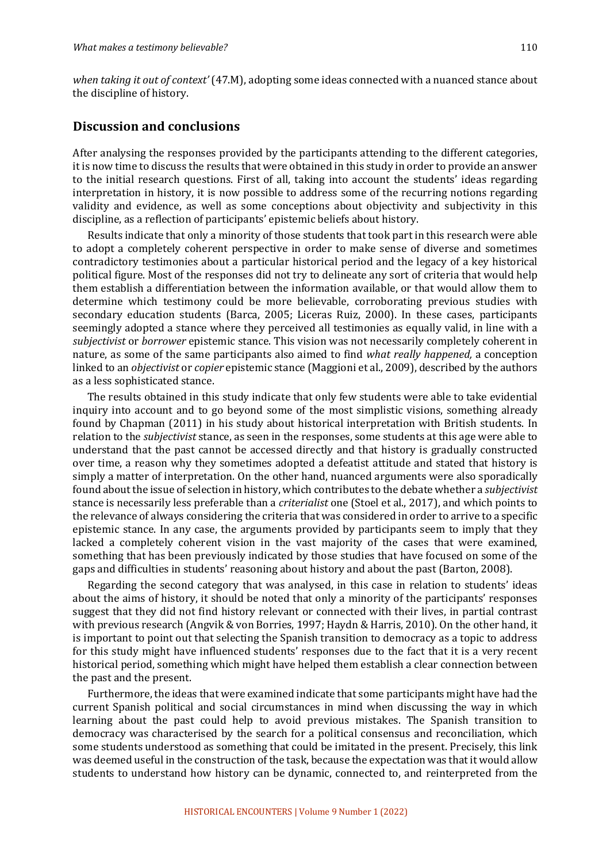*when taking it out of context'* (47.M), adopting some ideas connected with a nuanced stance about the discipline of history.

#### **Discussion and conclusions**

After analysing the responses provided by the participants attending to the different categories, it is now time to discuss the results that were obtained in this study in order to provide an answer to the initial research questions. First of all, taking into account the students' ideas regarding interpretation in history, it is now possible to address some of the recurring notions regarding validity and evidence, as well as some conceptions about objectivity and subjectivity in this discipline, as a reflection of participants' epistemic beliefs about history.

Results indicate that only a minority of those students that took part in this research were able to adopt a completely coherent perspective in order to make sense of diverse and sometimes contradictory testimonies about a particular historical period and the legacy of a key historical political figure. Most of the responses did not try to delineate any sort of criteria that would help them establish a differentiation between the information available, or that would allow them to determine which testimony could be more believable, corroborating previous studies with secondary education students (Barca, 2005; Liceras Ruiz, 2000). In these cases, participants seemingly adopted a stance where they perceived all testimonies as equally valid, in line with a *subjectivist* or *borrower* epistemic stance. This vision was not necessarily completely coherent in nature, as some of the same participants also aimed to find *what really happened*, a conception linked to an *objectivist* or *copier* epistemic stance (Maggioni et al., 2009), described by the authors as a less sophisticated stance.

The results obtained in this study indicate that only few students were able to take evidential inquiry into account and to go beyond some of the most simplistic visions, something already found by Chapman (2011) in his study about historical interpretation with British students. In relation to the *subjectivist* stance, as seen in the responses, some students at this age were able to understand that the past cannot be accessed directly and that history is gradually constructed over time, a reason why they sometimes adopted a defeatist attitude and stated that history is simply a matter of interpretation. On the other hand, nuanced arguments were also sporadically found about the issue of selection in history, which contributes to the debate whether a *subjectivist* stance is necessarily less preferable than a *criterialist* one (Stoel et al., 2017), and which points to the relevance of always considering the criteria that was considered in order to arrive to a specific epistemic stance. In any case, the arguments provided by participants seem to imply that they lacked a completely coherent vision in the vast majority of the cases that were examined, something that has been previously indicated by those studies that have focused on some of the gaps and difficulties in students' reasoning about history and about the past (Barton, 2008).

Regarding the second category that was analysed, in this case in relation to students' ideas about the aims of history, it should be noted that only a minority of the participants' responses suggest that they did not find history relevant or connected with their lives, in partial contrast with previous research (Angvik & von Borries, 1997; Haydn & Harris, 2010). On the other hand, it is important to point out that selecting the Spanish transition to democracy as a topic to address for this study might have influenced students' responses due to the fact that it is a very recent historical period, something which might have helped them establish a clear connection between the past and the present.

Furthermore, the ideas that were examined indicate that some participants might have had the current Spanish political and social circumstances in mind when discussing the way in which learning about the past could help to avoid previous mistakes. The Spanish transition to democracy was characterised by the search for a political consensus and reconciliation, which some students understood as something that could be imitated in the present. Precisely, this link was deemed useful in the construction of the task, because the expectation was that it would allow students to understand how history can be dynamic, connected to, and reinterpreted from the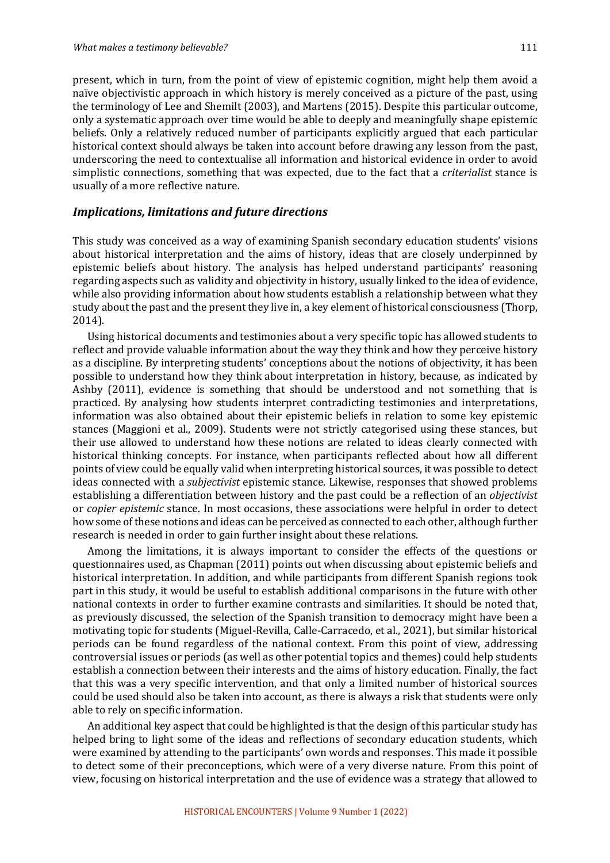present, which in turn, from the point of view of epistemic cognition, might help them avoid a naïve objectivistic approach in which history is merely conceived as a picture of the past, using the terminology of Lee and Shemilt (2003), and Martens (2015). Despite this particular outcome, only a systematic approach over time would be able to deeply and meaningfully shape epistemic beliefs. Only a relatively reduced number of participants explicitly argued that each particular historical context should always be taken into account before drawing any lesson from the past, underscoring the need to contextualise all information and historical evidence in order to avoid simplistic connections, something that was expected, due to the fact that a *criterialist* stance is usually of a more reflective nature.

#### *Implications, limitations and future directions*

This study was conceived as a way of examining Spanish secondary education students' visions about historical interpretation and the aims of history, ideas that are closely underpinned by epistemic beliefs about history. The analysis has helped understand participants' reasoning regarding aspects such as validity and objectivity in history, usually linked to the idea of evidence, while also providing information about how students establish a relationship between what they study about the past and the present they live in, a key element of historical consciousness (Thorp, 2014).

Using historical documents and testimonies about a very specific topic has allowed students to reflect and provide valuable information about the way they think and how they perceive history as a discipline. By interpreting students' conceptions about the notions of objectivity, it has been possible to understand how they think about interpretation in history, because, as indicated by Ashby  $(2011)$ , evidence is something that should be understood and not something that is practiced. By analysing how students interpret contradicting testimonies and interpretations, information was also obtained about their epistemic beliefs in relation to some key epistemic stances (Maggioni et al., 2009). Students were not strictly categorised using these stances, but their use allowed to understand how these notions are related to ideas clearly connected with historical thinking concepts. For instance, when participants reflected about how all different points of view could be equally valid when interpreting historical sources, it was possible to detect ideas connected with a *subjectivist* epistemic stance. Likewise, responses that showed problems establishing a differentiation between history and the past could be a reflection of an *objectivist* or *copier epistemic* stance. In most occasions, these associations were helpful in order to detect how some of these notions and ideas can be perceived as connected to each other, although further research is needed in order to gain further insight about these relations.

Among the limitations, it is always important to consider the effects of the questions or questionnaires used, as Chapman (2011) points out when discussing about epistemic beliefs and historical interpretation. In addition, and while participants from different Spanish regions took part in this study, it would be useful to establish additional comparisons in the future with other national contexts in order to further examine contrasts and similarities. It should be noted that, as previously discussed, the selection of the Spanish transition to democracy might have been a motivating topic for students (Miguel-Revilla, Calle-Carracedo, et al., 2021), but similar historical periods can be found regardless of the national context. From this point of view, addressing controversial issues or periods (as well as other potential topics and themes) could help students establish a connection between their interests and the aims of history education. Finally, the fact that this was a very specific intervention, and that only a limited number of historical sources could be used should also be taken into account, as there is always a risk that students were only able to rely on specific information.

An additional key aspect that could be highlighted is that the design of this particular study has helped bring to light some of the ideas and reflections of secondary education students, which were examined by attending to the participants' own words and responses. This made it possible to detect some of their preconceptions, which were of a very diverse nature. From this point of view, focusing on historical interpretation and the use of evidence was a strategy that allowed to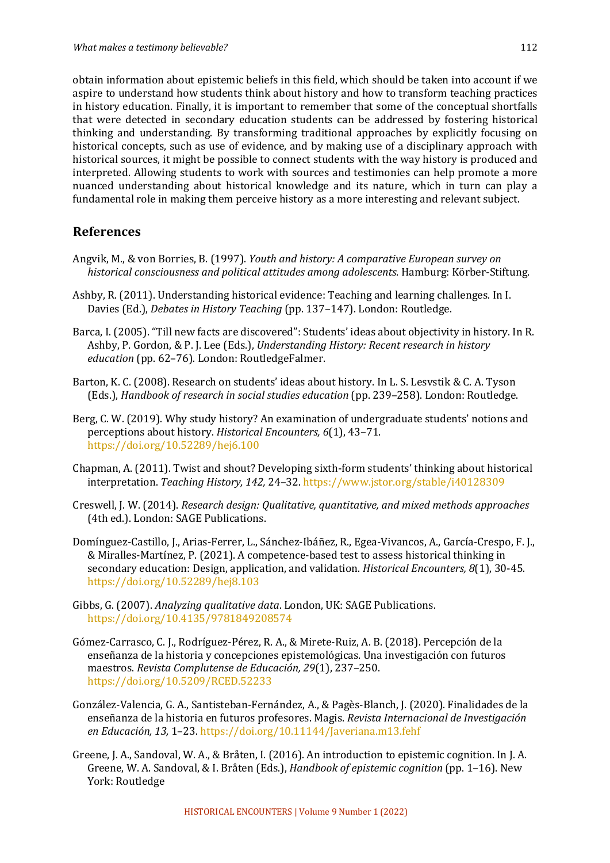obtain information about epistemic beliefs in this field, which should be taken into account if we aspire to understand how students think about history and how to transform teaching practices in history education. Finally, it is important to remember that some of the conceptual shortfalls that were detected in secondary education students can be addressed by fostering historical thinking and understanding. By transforming traditional approaches by explicitly focusing on historical concepts, such as use of evidence, and by making use of a disciplinary approach with historical sources, it might be possible to connect students with the way history is produced and interpreted. Allowing students to work with sources and testimonies can help promote a more nuanced understanding about historical knowledge and its nature, which in turn can play a fundamental role in making them perceive history as a more interesting and relevant subject.

#### **References**

- Angvik, M., & von Borries, B. (1997). *Youth and history: A comparative European survey on* historical consciousness and political attitudes among adolescents. Hamburg: Körber-Stiftung.
- Ashby, R. (2011). Understanding historical evidence: Teaching and learning challenges. In I. Davies (Ed.), *Debates in History Teaching* (pp. 137–147). London: Routledge.
- Barca, I. (2005). "Till new facts are discovered": Students' ideas about objectivity in history. In R. Ashby, P. Gordon, & P. J. Lee (Eds.), *Understanding History: Recent research in history education* (pp. 62-76). London: RoutledgeFalmer.
- Barton, K. C. (2008). Research on students' ideas about history. In L. S. Lesystik & C. A. Tyson (Eds.), *Handbook of research in social studies education* (pp. 239–258). London: Routledge.
- Berg, C. W. (2019). Why study history? An examination of undergraduate students' notions and perceptions about history. *Historical Encounters,* 6(1), 43-71. https://doi.org/10.52289/hej6.100
- Chapman, A. (2011). Twist and shout? Developing sixth-form students' thinking about historical interpretation. *Teaching History, 142,* 24–32. https://www.jstor.org/stable/i40128309
- Creswell, J. W. (2014). *Research design: Qualitative, quantitative, and mixed methods approaches* (4th ed.). London: SAGE Publications.
- Domínguez-Castillo, J., Arias-Ferrer, L., Sánchez-Ibáñez, R., Egea-Vivancos, A., García-Crespo, F. J., & Miralles-Martínez, P. (2021). A competence-based test to assess historical thinking in secondary education: Design, application, and validation. *Historical Encounters, 8*(1), 30-45. https://doi.org/10.52289/hej8.103
- Gibbs, G. (2007). *Analyzing qualitative data*. London, UK: SAGE Publications. https://doi.org/10.4135/9781849208574
- Gómez-Carrasco, C. J., Rodríguez-Pérez, R. A., & Mirete-Ruiz, A. B. (2018). Percepción de la enseñanza de la historia y concepciones epistemológicas. Una investigación con futuros maestros. *Revista Complutense de Educación, 29*(1), 237-250. https://doi.org/10.5209/RCED.52233
- González-Valencia, G. A., Santisteban-Fernández, A., & Pagès-Blanch, J. (2020). Finalidades de la enseñanza de la historia en futuros profesores. Magis. *Revista Internacional de Investigación en Educación, 13,* 1–23. https://doi.org/10.11144/Javeriana.m13.fehf
- Greene, J. A., Sandoval, W. A., & Bråten, I. (2016). An introduction to epistemic cognition. In J. A. Greene, W. A. Sandoval, & I. Bråten (Eds.), *Handbook of epistemic cognition* (pp. 1–16). New York: Routledge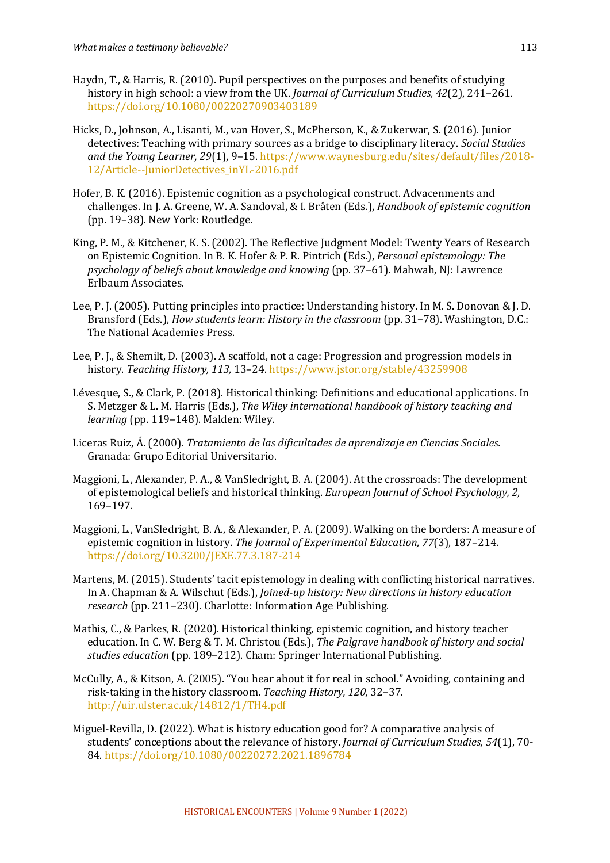- Haydn, T., & Harris, R. (2010). Pupil perspectives on the purposes and benefits of studying history in high school: a view from the UK. *Journal of Curriculum Studies, 42*(2), 241–261. https://doi.org/10.1080/00220270903403189
- Hicks, D., Johnson, A., Lisanti, M., van Hover, S., McPherson, K., & Zukerwar, S. (2016). Junior detectives: Teaching with primary sources as a bridge to disciplinary literacy. *Social Studies* and the Young Learner, 29(1), 9-15. https://www.waynesburg.edu/sites/default/files/2018-12/Article--JuniorDetectives\_inYL-2016.pdf
- Hofer, B. K. (2016). Epistemic cognition as a psychological construct. Advacenments and challenges. In J. A. Greene, W. A. Sandoval, & I. Bråten (Eds.), *Handbook of epistemic cognition* (pp. 19-38). New York: Routledge.
- King, P. M., & Kitchener, K. S. (2002). The Reflective Judgment Model: Twenty Years of Research on Epistemic Cognition. In B. K. Hofer & P. R. Pintrich (Eds.), *Personal epistemology: The psychology of beliefs about knowledge and knowing* (pp. 37–61). Mahwah, NJ: Lawrence Erlbaum Associates.
- Lee, P. J. (2005). Putting principles into practice: Understanding history. In M. S. Donovan & J. D. Bransford (Eds.), *How students learn: History in the classroom* (pp. 31–78). Washington, D.C.: The National Academies Press.
- Lee, P. L. & Shemilt, D. (2003). A scaffold, not a cage: Progression and progression models in history. *Teaching History, 113, 13-24. https://www.jstor.org/stable/43259908*
- Lévesque, S., & Clark, P. (2018). Historical thinking: Definitions and educational applications. In S. Metzger & L. M. Harris (Eds.), *The Wiley international handbook of history teaching and* learning (pp. 119-148). Malden: Wiley.
- Liceras Ruiz, Á. (2000). *Tratamiento de las dificultades de aprendizaje en Ciencias Sociales.* Granada: Grupo Editorial Universitario.
- Maggioni, L., Alexander, P. A., & VanSledright, B. A. (2004). At the crossroads: The development of epistemological beliefs and historical thinking. *European Journal of School Psychology*, 2, 169–197.
- Maggioni, L., VanSledright, B. A., & Alexander, P. A. (2009). Walking on the borders: A measure of epistemic cognition in history. The Journal of Experimental Education, 77(3), 187-214. https://doi.org/10.3200/JEXE.77.3.187-214
- Martens, M. (2015). Students' tacit epistemology in dealing with conflicting historical narratives. In A. Chapman & A. Wilschut (Eds.), *Joined-up history: New directions in history education* research (pp. 211-230). Charlotte: Information Age Publishing.
- Mathis, C., & Parkes, R. (2020). Historical thinking, epistemic cognition, and history teacher education. In C. W. Berg & T. M. Christou (Eds.), *The Palgrave handbook of history and social* studies education (pp. 189-212). Cham: Springer International Publishing.
- McCully, A., & Kitson, A. (2005). "You hear about it for real in school." Avoiding, containing and risk-taking in the history classroom. Teaching History, 120, 32-37. http://uir.ulster.ac.uk/14812/1/TH4.pdf
- Miguel-Revilla, D. (2022). What is history education good for? A comparative analysis of students' conceptions about the relevance of history. *Journal of Curriculum Studies, 54*(1), 70-84. https://doi.org/10.1080/00220272.2021.1896784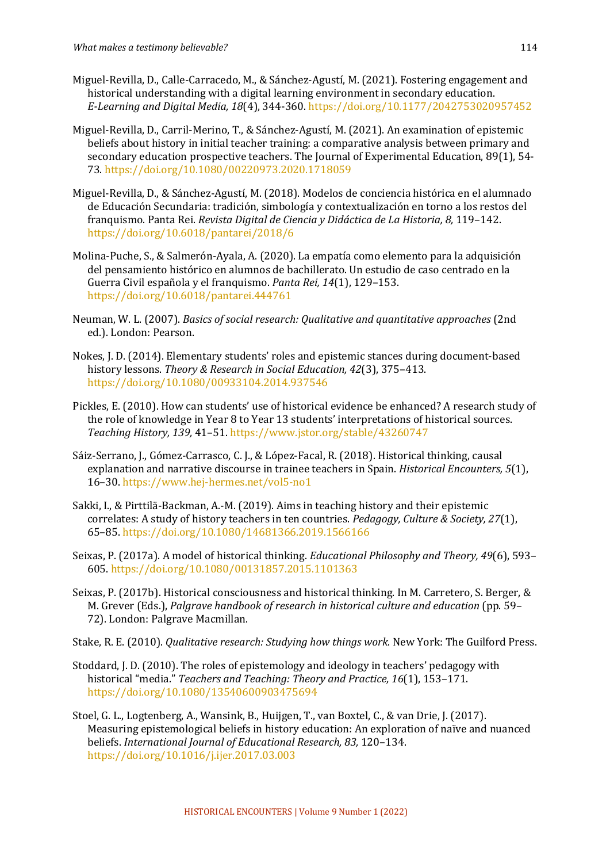- Miguel-Revilla, D., Calle-Carracedo, M., & Sánchez-Agustí, M. (2021). Fostering engagement and historical understanding with a digital learning environment in secondary education. *E-Learning and Digital Media, 18*(4), 344-360. https://doi.org/10.1177/2042753020957452
- Miguel-Revilla, D., Carril-Merino, T., & Sánchez-Agustí, M. (2021). An examination of epistemic beliefs about history in initial teacher training: a comparative analysis between primary and secondary education prospective teachers. The Journal of Experimental Education, 89(1), 54-73. https://doi.org/10.1080/00220973.2020.1718059
- Miguel-Revilla, D., & Sánchez-Agustí, M. (2018). Modelos de conciencia histórica en el alumnado de Educación Secundaria: tradición, simbología y contextualización en torno a los restos del franquismo. Panta Rei. *Revista Digital de Ciencia y Didáctica de La Historia, 8,* 119–142. https://doi.org/10.6018/pantarei/2018/6
- Molina-Puche, S., & Salmerón-Ayala, A. (2020). La empatía como elemento para la adquisición del pensamiento histórico en alumnos de bachillerato. Un estudio de caso centrado en la Guerra Civil española y el franquismo. Panta Rei, 14(1), 129-153. https://doi.org/10.6018/pantarei.444761
- Neuman, W. L. (2007). *Basics of social research: Qualitative and quantitative approaches* (2nd ed.). London: Pearson.
- Nokes, I. D. (2014). Elementary students' roles and epistemic stances during document-based history lessons. *Theory & Research in Social Education, 42*(3), 375-413. https://doi.org/10.1080/00933104.2014.937546
- Pickles, E. (2010). How can students' use of historical evidence be enhanced? A research study of the role of knowledge in Year 8 to Year 13 students' interpretations of historical sources. *Teaching History, 139,* 41–51. https://www.jstor.org/stable/43260747
- Sáiz-Serrano, J., Gómez-Carrasco, C. J., & López-Facal, R. (2018). Historical thinking, causal explanation and narrative discourse in trainee teachers in Spain. *Historical Encounters*, 5(1), 16–30. https://www.hej-hermes.net/vol5-no1
- Sakki, I., & Pirttilä-Backman, A.-M. (2019). Aims in teaching history and their epistemic correlates: A study of history teachers in ten countries. *Pedagogy, Culture & Society, 27*(1), 65–85. https://doi.org/10.1080/14681366.2019.1566166
- Seixas, P. (2017a). A model of historical thinking. *Educational Philosophy and Theory, 49*(6), 593– 605. https://doi.org/10.1080/00131857.2015.1101363
- Seixas, P. (2017b). Historical consciousness and historical thinking. In M. Carretero, S. Berger, & M. Grever (Eds.), *Palgrave handbook of research in historical culture and education* (pp. 59– 72). London: Palgrave Macmillan.

Stake, R. E. (2010). *Qualitative research: Studying how things work*. New York: The Guilford Press.

- Stoddard, J. D. (2010). The roles of epistemology and ideology in teachers' pedagogy with historical "media." *Teachers and Teaching: Theory and Practice,* 16(1), 153-171. https://doi.org/10.1080/13540600903475694
- Stoel, G. L., Logtenberg, A., Wansink, B., Huijgen, T., van Boxtel, C., & van Drie, J. (2017). Measuring epistemological beliefs in history education: An exploration of naïve and nuanced beliefs. International Journal of Educational Research, 83, 120-134. https://doi.org/10.1016/j.ijer.2017.03.003